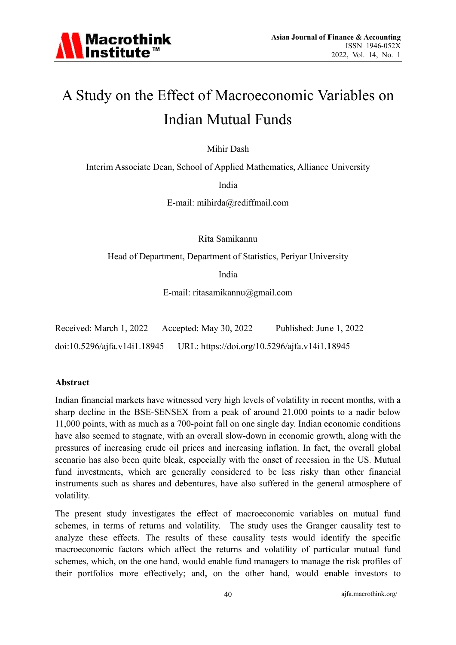

# A Study on the Effect of Macroeconomic Variables on **Indian Mutual Funds**

Mihir Dash

Interim Associate Dean, School of Applied Mathematics, Alliance University

India

E-mail: mihirda@rediffmail.com

Rita Samikannu

Head of Department, Department of Statistics, Periyar University

India

E-mail: ritasamikannu@gmail.com

| Received: March 1, 2022      | Accepted: May 30, 2022                        | Published: June 1, 2022 |
|------------------------------|-----------------------------------------------|-------------------------|
| doi:10.5296/ajfa.v14i1.18945 | URL: https://doi.org/10.5296/ajfa.v14i1.18945 |                         |

# Abstract

Indian financial markets have witnessed very high levels of volatility in recent months, with a sharp decline in the BSE-SENSEX from a peak of around 21,000 points to a nadir below 11,000 points, with as much as a 700-point fall on one single day. Indian economic conditions have also seemed to stagnate, with an overall slow-down in economic growth, along with the pressures of increasing crude oil prices and increasing inflation. In fact, the overall global scenario has also been quite bleak, especially with the onset of recession in the US. Mutual fund investments, which are generally considered to be less risky than other financial instruments such as shares and debentures, have also suffered in the general atmosphere of volatility.

The present study investigates the effect of macroeconomic variables on mutual fund schemes, in terms of returns and volatility. The study uses the Granger causality test to analyze these effects. The results of these causality tests would identify the specific macroeconomic factors which affect the returns and volatility of particular mutual fund schemes, which, on the one hand, would enable fund managers to manage the risk profiles of their portfolios more effectively; and, on the other hand, would enable investors to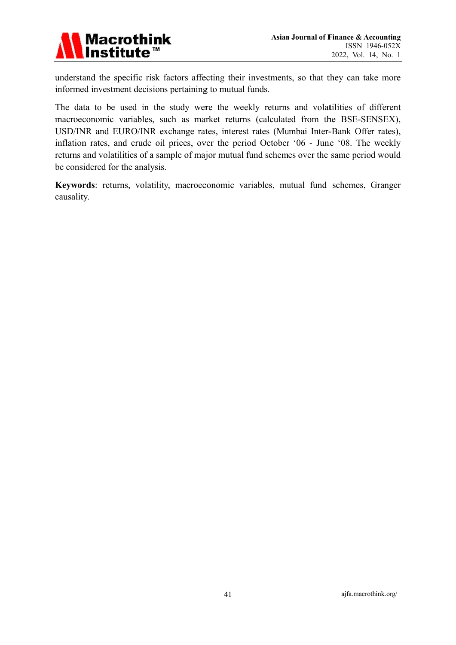

understand the specific risk factors affecting their investments, so that they can take more informed investment decisions pertaining to mutual funds.

The data to be used in the study were the weekly returns and volatilities of different macroeconomic variables, such as market returns (calculated from the BSE-SENSEX), USD/INR and EURO/INR exchange rates, interest rates (Mumbai Inter-Bank Offer rates), inflation rates, and crude oil prices, over the period October '06 - June '08. The weekly returns and volatilities of a sample of major mutual fund schemes over the same period would be considered for the analysis.

Keywords: returns, volatility, macroeconomic variables, mutual fund schemes, Granger causality.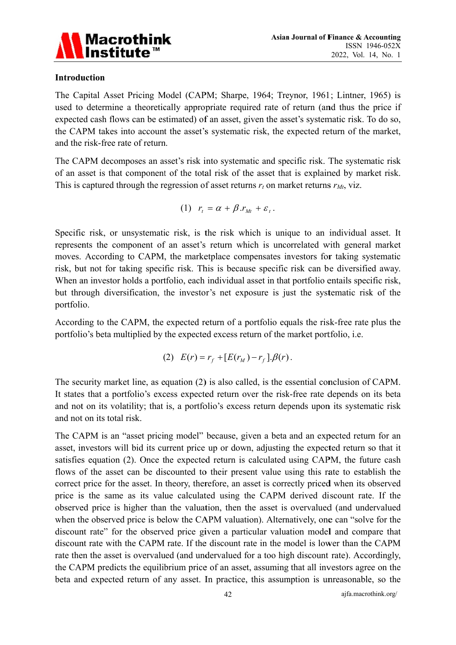

# **Introduction**

The Capital Asset Pricing Model (CAPM; Sharpe, 1964; Treynor, 1961; Lintner, 1965) is used to determine a theoretically appropriate required rate of return (and thus the price if expected cash flows can be estimated) of an asset, given the asset's systematic risk. To do so, the CAPM takes into account the asset's systematic risk, the expected return of the market, and the risk-free rate of return.

The CAPM decomposes an asset's risk into systematic and specific risk. The systematic risk of an asset is that component of the total risk of the asset that is explained by market risk. This is captured through the regression of asset returns  $r_t$  on market returns  $r_{Mt}$ , viz.

$$
(1) r_t = \alpha + \beta r_{Mt} + \varepsilon_t.
$$

Specific risk, or unsystematic risk, is the risk which is unique to an individual asset. It represents the component of an asset's return which is uncorrelated with general market moves. According to CAPM, the marketplace compensates investors for taking systematic risk, but not for taking specific risk. This is because specific risk can be diversified away. When an investor holds a portfolio, each individual asset in that portfolio entails specific risk, but through diversification, the investor's net exposure is just the systematic risk of the portfolio.

According to the CAPM, the expected return of a portfolio equals the risk-free rate plus the portfolio's beta multiplied by the expected excess return of the market portfolio, i.e.

(2) 
$$
E(r) = r_f + [E(r_M) - r_f].\beta(r)
$$
.

The security market line, as equation (2) is also called, is the essential conclusion of CAPM. It states that a portfolio's excess expected return over the risk-free rate depends on its beta and not on its volatility; that is, a portfolio's excess return depends upon its systematic risk and not on its total risk.

The CAPM is an "asset pricing model" because, given a beta and an expected return for an asset, investors will bid its current price up or down, adjusting the expected return so that it satisfies equation (2). Once the expected return is calculated using CAPM, the future cash flows of the asset can be discounted to their present value using this rate to establish the correct price for the asset. In theory, therefore, an asset is correctly priced when its observed price is the same as its value calculated using the CAPM derived discount rate. If the observed price is higher than the valuation, then the asset is overvalued (and undervalued when the observed price is below the CAPM valuation). Alternatively, one can "solve for the discount rate" for the observed price given a particular valuation model and compare that discount rate with the CAPM rate. If the discount rate in the model is lower than the CAPM rate then the asset is overvalued (and undervalued for a too high discount rate). Accordingly, the CAPM predicts the equilibrium price of an asset, assuming that all investors agree on the beta and expected return of any asset. In practice, this assumption is unreasonable, so the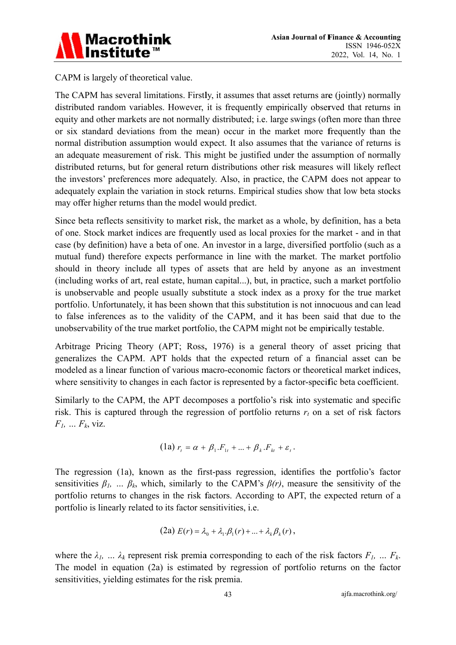

CAPM is largely of theoretical value.

The CAPM has several limitations. Firstly, it assumes that asset returns are (jointly) normally distributed random variables. However, it is frequently empirically observed that returns in equity and other markets are not normally distributed; i.e. large swings (often more than three or six standard deviations from the mean) occur in the market more frequently than the normal distribution assumption would expect. It also assumes that the variance of returns is an adequate measurement of risk. This might be justified under the assumption of normally distributed returns, but for general return distributions other risk measures will likely reflect the investors' preferences more adequately. Also, in practice, the CAPM does not appear to adequately explain the variation in stock returns. Empirical studies show that low beta stocks may offer higher returns than the model would predict.

Since beta reflects sensitivity to market risk, the market as a whole, by definition, has a beta of one. Stock market indices are frequently used as local proxies for the market - and in that case (by definition) have a beta of one. An investor in a large, diversified portfolio (such as a mutual fund) therefore expects performance in line with the market. The market portfolio should in theory include all types of assets that are held by anyone as an investment (including works of art, real estate, human capital...), but, in practice, such a market portfolio is unobservable and people usually substitute a stock index as a proxy for the true market portfolio. Unfortunately, it has been shown that this substitution is not innocuous and can lead to false inferences as to the validity of the CAPM, and it has been said that due to the unobservability of the true market portfolio, the CAPM might not be empirically testable.

Arbitrage Pricing Theory (APT; Ross, 1976) is a general theory of asset pricing that generalizes the CAPM. APT holds that the expected return of a financial asset can be modeled as a linear function of various macro-economic factors or theoretical market indices, where sensitivity to changes in each factor is represented by a factor-specific beta coefficient.

Similarly to the CAPM, the APT decomposes a portfolio's risk into systematic and specific risk. This is captured through the regression of portfolio returns  $r_t$  on a set of risk factors  $F_l$ , ...  $F_k$ , viz.

$$
(1a) r_{t} = \alpha + \beta_{1}.F_{1t} + ... + \beta_{k}.F_{kt} + \varepsilon_{t}.
$$

The regression (1a), known as the first-pass regression, identifies the portfolio's factor sensitivities  $\beta_l$ , ...  $\beta_k$ , which, similarly to the CAPM's  $\beta(r)$ , measure the sensitivity of the portfolio returns to changes in the risk factors. According to APT, the expected return of a portfolio is linearly related to its factor sensitivities, *i.e.* 

(2a) 
$$
E(r) = \lambda_0 + \lambda_1 \cdot \beta_1(r) + ... + \lambda_k \beta_k(r)
$$
,

where the  $\lambda_l$ , ...  $\lambda_k$  represent risk premia corresponding to each of the risk factors  $F_l$ , ...  $F_k$ . The model in equation  $(2a)$  is estimated by regression of portfolio returns on the factor sensitivities, yielding estimates for the risk premia.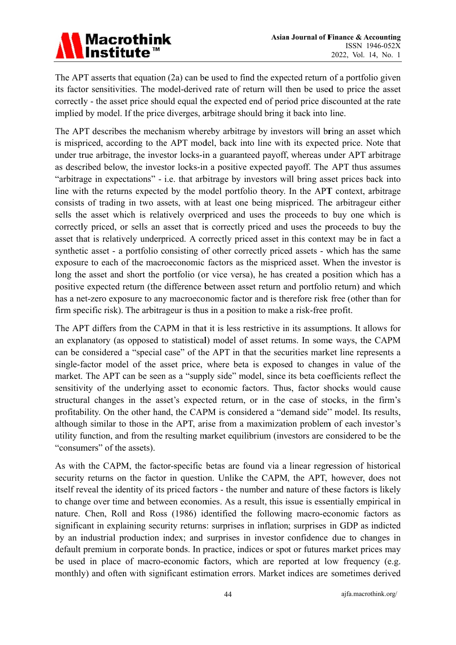

The APT asserts that equation (2a) can be used to find the expected return of a portfolio given its factor sensitivities. The model-derived rate of return will then be used to price the asset correctly - the asset price should equal the expected end of period price discounted at the rate implied by model. If the price diverges, arbitrage should bring it back into line.

The APT describes the mechanism whereby arbitrage by investors will bring an asset which is mispriced, according to the APT model, back into line with its expected price. Note that under true arbitrage, the investor locks-in a guaranteed payoff, whereas under APT arbitrage as described below, the investor locks-in a positive expected payoff. The APT thus assumes "arbitrage in expectations" - i.e. that arbitrage by investors will bring asset prices back into line with the returns expected by the model portfolio theory. In the APT context, arbitrage consists of trading in two assets, with at least one being mispriced. The arbitrageur either sells the asset which is relatively overpriced and uses the proceeds to buy one which is correctly priced, or sells an asset that is correctly priced and uses the proceeds to buy the asset that is relatively underpriced. A correctly priced asset in this context may be in fact a synthetic asset - a portfolio consisting of other correctly priced assets - which has the same exposure to each of the macroeconomic factors as the mispriced asset. When the investor is long the asset and short the portfolio (or vice versa), he has created a position which has a positive expected return (the difference between asset return and portfolio return) and which has a net-zero exposure to any macroeconomic factor and is therefore risk free (other than for firm specific risk). The arbitrageur is thus in a position to make a risk-free profit.

The APT differs from the CAPM in that it is less restrictive in its assumptions. It allows for an explanatory (as opposed to statistical) model of asset returns. In some ways, the CAPM can be considered a "special case" of the APT in that the securities market line represents a single-factor model of the asset price, where beta is exposed to changes in value of the market. The APT can be seen as a "supply side" model, since its beta coefficients reflect the sensitivity of the underlying asset to economic factors. Thus, factor shocks would cause structural changes in the asset's expected return, or in the case of stocks, in the firm's profitability. On the other hand, the CAPM is considered a "demand side" model. Its results, although similar to those in the APT, arise from a maximization problem of each investor's utility function, and from the resulting market equilibrium (investors are considered to be the "consumers" of the assets).

As with the CAPM, the factor-specific betas are found via a linear regression of historical security returns on the factor in question. Unlike the CAPM, the APT, however, does not itself reveal the identity of its priced factors - the number and nature of these factors is likely to change over time and between economies. As a result, this issue is essentially empirical in nature. Chen, Roll and Ross (1986) identified the following macro-economic factors as significant in explaining security returns: surprises in inflation; surprises in GDP as indicted by an industrial production index; and surprises in investor confidence due to changes in default premium in corporate bonds. In practice, indices or spot or futures market prices may be used in place of macro-economic factors, which are reported at low frequency (e.g. monthly) and often with significant estimation errors. Market indices are sometimes derived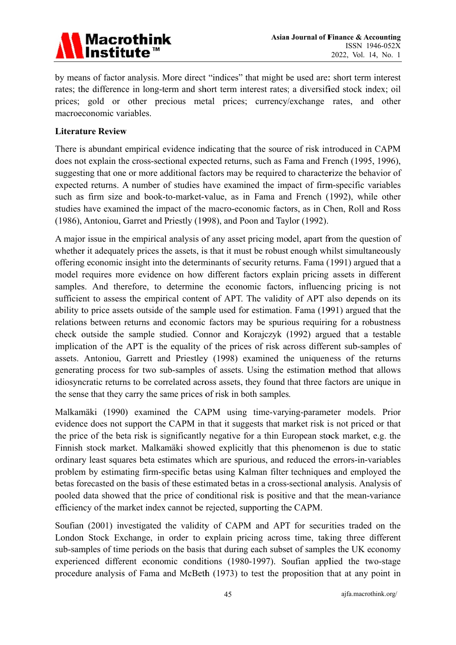

by means of factor analysis. More direct "indices" that might be used are: short term interest rates; the difference in long-term and short term interest rates; a diversified stock index; oil prices; gold or other precious metal prices; currency/exchange rates, and other macroeconomic variables.

#### **Literature Review**

There is abundant empirical evidence indicating that the source of risk introduced in CAPM does not explain the cross-sectional expected returns, such as Fama and French (1995, 1996), suggesting that one or more additional factors may be required to characterize the behavior of expected returns. A number of studies have examined the impact of firm-specific variables such as firm size and book-to-market-value, as in Fama and French (1992), while other studies have examined the impact of the macro-economic factors, as in Chen, Roll and Ross (1986), Antoniou, Garret and Priestly (1998), and Poon and Taylor (1992).

A major issue in the empirical analysis of any asset pricing model, apart from the question of whether it adequately prices the assets, is that it must be robust enough whilst simultaneously offering economic insight into the determinants of security returns. Fama (1991) argued that a model requires more evidence on how different factors explain pricing assets in different samples. And therefore, to determine the economic factors, influencing pricing is not sufficient to assess the empirical content of APT. The validity of APT also depends on its ability to price assets outside of the sample used for estimation. Fama (1991) argued that the relations between returns and economic factors may be spurious requiring for a robustness check outside the sample studied. Connor and Korajczyk (1992) argued that a testable implication of the APT is the equality of the prices of risk across different sub-samples of assets. Antoniou, Garrett and Priestley (1998) examined the uniqueness of the returns generating process for two sub-samples of assets. Using the estimation method that allows idiosyncratic returns to be correlated across assets, they found that three factors are unique in the sense that they carry the same prices of risk in both samples.

Malkamäki (1990) examined the CAPM using time-varying-parameter models. Prior evidence does not support the CAPM in that it suggests that market risk is not priced or that the price of the beta risk is significantly negative for a thin European stock market, e.g. the Finnish stock market. Malkamäki showed explicitly that this phenomenon is due to static ordinary least squares beta estimates which are spurious, and reduced the errors-in-variables problem by estimating firm-specific betas using Kalman filter techniques and employed the betas forecasted on the basis of these estimated betas in a cross-sectional analysis. Analysis of pooled data showed that the price of conditional risk is positive and that the mean-variance efficiency of the market index cannot be rejected, supporting the CAPM.

Soufian (2001) investigated the validity of CAPM and APT for securities traded on the London Stock Exchange, in order to explain pricing across time, taking three different sub-samples of time periods on the basis that during each subset of samples the UK economy experienced different economic conditions (1980-1997). Soufian applied the two-stage procedure analysis of Fama and McBeth (1973) to test the proposition that at any point in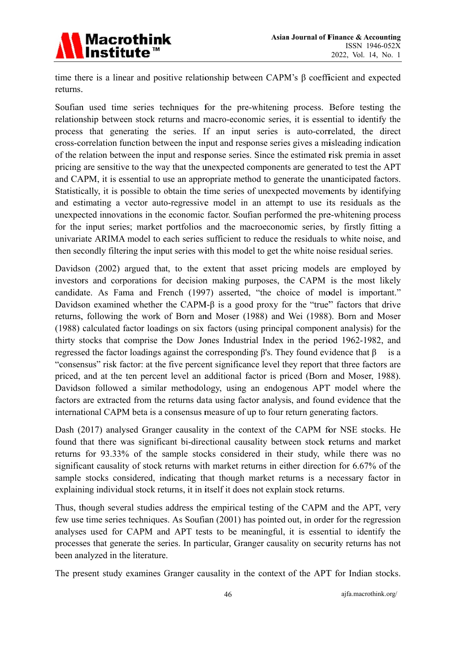

time there is a linear and positive relationship between CAPM's  $\beta$  coefficient and expected returns.

Soufian used time series techniques for the pre-whitening process. Before testing the relationship between stock returns and macro-economic series, it is essential to identify the process that generating the series. If an input series is auto-correlated, the direct cross-correlation function between the input and response series gives a misleading indication of the relation between the input and response series. Since the estimated risk premia in asset pricing are sensitive to the way that the unexpected components are generated to test the APT and CAPM, it is essential to use an appropriate method to generate the unanticipated factors. Statistically, it is possible to obtain the time series of unexpected movements by identifying and estimating a vector auto-regressive model in an attempt to use its residuals as the unexpected innovations in the economic factor. Soufian performed the pre-whitening process for the input series; market portfolios and the macroeconomic series, by firstly fitting a univariate ARIMA model to each series sufficient to reduce the residuals to white noise, and then secondly filtering the input series with this model to get the white noise residual series.

Davidson (2002) argued that, to the extent that asset pricing models are employed by investors and corporations for decision making purposes, the CAPM is the most likely candidate. As Fama and French (1997) asserted, "the choice of model is important." Davidson examined whether the CAPM- $\beta$  is a good proxy for the "true" factors that drive returns, following the work of Born and Moser (1988) and Wei (1988). Born and Moser (1988) calculated factor loadings on six factors (using principal component analysis) for the thirty stocks that comprise the Dow Jones Industrial Index in the period 1962-1982, and regressed the factor loadings against the corresponding  $\beta$ 's. They found evidence that  $\beta$ is a "consensus" risk factor: at the five percent significance level they report that three factors are priced, and at the ten percent level an additional factor is priced (Born and Moser, 1988). Davidson followed a similar methodology, using an endogenous APT model where the factors are extracted from the returns data using factor analysis, and found evidence that the international CAPM beta is a consensus measure of up to four return generating factors.

Dash (2017) analysed Granger causality in the context of the CAPM for NSE stocks. He found that there was significant bi-directional causality between stock returns and market returns for 93.33% of the sample stocks considered in their study, while there was no significant causality of stock returns with market returns in either direction for 6.67% of the sample stocks considered, indicating that though market returns is a necessary factor in explaining individual stock returns, it in itself it does not explain stock returns.

Thus, though several studies address the empirical testing of the CAPM and the APT, very few use time series techniques. As Soufian (2001) has pointed out, in order for the regression analyses used for CAPM and APT tests to be meaningful, it is essential to identify the processes that generate the series. In particular, Granger causality on security returns has not been analyzed in the literature.

The present study examines Granger causality in the context of the APT for Indian stocks.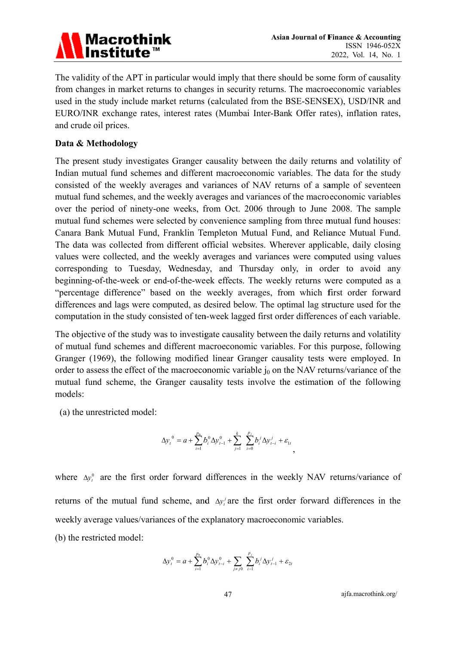

The validity of the APT in particular would imply that there should be some form of causality from changes in market returns to changes in security returns. The macroeconomic variables used in the study include market returns (calculated from the BSE-SENSEX), USD/INR and EURO/INR exchange rates, interest rates (Mumbai Inter-Bank Offer rates), inflation rates, and crude oil prices.

#### Data & Methodology

The present study investigates Granger causality between the daily returns and volatility of Indian mutual fund schemes and different macroeconomic variables. The data for the study consisted of the weekly averages and variances of NAV returns of a sample of seventeen mutual fund schemes, and the weekly averages and variances of the macroeconomic variables over the period of ninety-one weeks, from Oct. 2006 through to June 2008. The sample mutual fund schemes were selected by convenience sampling from three mutual fund houses: Canara Bank Mutual Fund, Franklin Templeton Mutual Fund, and Reliance Mutual Fund. The data was collected from different official websites. Wherever applicable, daily closing values were collected, and the weekly averages and variances were computed using values corresponding to Tuesday, Wednesday, and Thursday only, in order to avoid any beginning-of-the-week or end-of-the-week effects. The weekly returns were computed as a "percentage difference" based on the weekly averages, from which first order forward differences and lags were computed, as desired below. The optimal lag structure used for the computation in the study consisted of ten-week lagged first order differences of each variable.

The objective of the study was to investigate causality between the daily returns and volatility of mutual fund schemes and different macroeconomic variables. For this purpose, following Granger (1969), the following modified linear Granger causality tests were employed. In order to assess the effect of the macroeconomic variable  $j_0$  on the NAV returns/variance of the mutual fund scheme, the Granger causality tests involve the estimation of the following models:

(a) the unrestricted model:

$$
\Delta y_t^0 = a + \sum_{i=1}^{p_0} b_i^0 \Delta y_{t-1}^0 + \sum_{j=1}^k \sum_{i=0}^{p_j} b_i^j \Delta y_{t-i}^j + \varepsilon_{1t}
$$

where  $\Delta y_t^0$  are the first order forward differences in the weekly NAV returns/variance of returns of the mutual fund scheme, and  $\Delta y_t$  are the first order forward differences in the weekly average values/variances of the explanatory macroeconomic variables.

(b) the restricted model:

$$
\Delta y_t^0 = a + \sum_{i=1}^{p_0} b_i^0 \Delta y_{t-i}^0 + \sum_{j \neq j_0} \sum_{i=1}^{p_j} b_i^j \Delta y_{t-1}^j + \varepsilon_{2t}
$$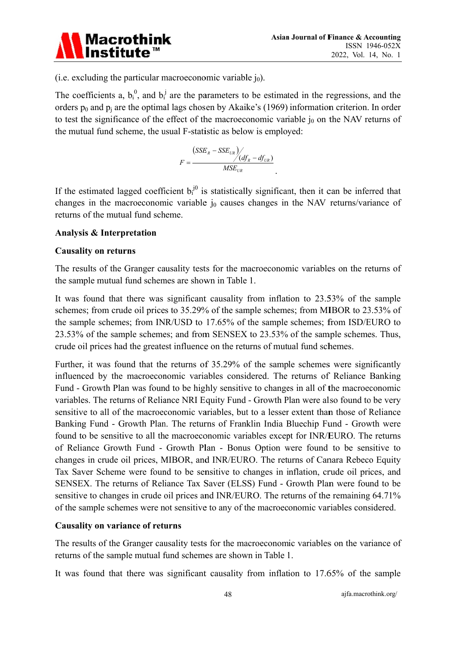

(i.e. excluding the particular macroeconomic variable  $i_0$ ).

The coefficients a,  $b_i^0$ , and  $b_i^j$  are the parameters to be estimated in the regressions, and the orders  $p_0$  and  $p_i$  are the optimal lags chosen by Akaike's (1969) information criterion. In order to test the significance of the effect of the macroeconomic variable  $j_0$  on the NAV returns of the mutual fund scheme, the usual F-statistic as below is employed:

$$
F = \frac{(SSE_R - SSE_{UR})}{MSE_{UR}} / \left(\frac{df_R - df_{UR}}{MSE_{UR}}\right)
$$

If the estimated lagged coefficient  $b_i^{j0}$  is statistically significant, then it can be inferred that changes in the macroeconomic variable  $j_0$  causes changes in the NAV returns/variance of returns of the mutual fund scheme.

# **Analysis & Interpretation**

# **Causality on returns**

The results of the Granger causality tests for the macroeconomic variables on the returns of the sample mutual fund schemes are shown in Table 1.

It was found that there was significant causality from inflation to 23.53% of the sample schemes; from crude oil prices to 35.29% of the sample schemes; from MIBOR to 23.53% of the sample schemes; from INR/USD to 17.65% of the sample schemes; from ISD/EURO to 23.53% of the sample schemes; and from SENSEX to 23.53% of the sample schemes. Thus, crude oil prices had the greatest influence on the returns of mutual fund schemes.

Further, it was found that the returns of 35.29% of the sample schemes were significantly influenced by the macroeconomic variables considered. The returns of Reliance Banking Fund - Growth Plan was found to be highly sensitive to changes in all of the macroeconomic variables. The returns of Reliance NRI Equity Fund - Growth Plan were also found to be very sensitive to all of the macroeconomic variables, but to a lesser extent than those of Reliance Banking Fund - Growth Plan. The returns of Franklin India Bluechip Fund - Growth were found to be sensitive to all the macroeconomic variables except for INR/EURO. The returns of Reliance Growth Fund - Growth Plan - Bonus Option were found to be sensitive to changes in crude oil prices, MIBOR, and INR/EURO. The returns of Canara Rebeco Equity Tax Saver Scheme were found to be sensitive to changes in inflation, crude oil prices, and SENSEX. The returns of Reliance Tax Saver (ELSS) Fund - Growth Plan were found to be sensitive to changes in crude oil prices and INR/EURO. The returns of the remaining 64.71% of the sample schemes were not sensitive to any of the macroeconomic variables considered.

# **Causality on variance of returns**

The results of the Granger causality tests for the macroeconomic variables on the variance of returns of the sample mutual fund schemes are shown in Table 1.

It was found that there was significant causality from inflation to 17.65% of the sample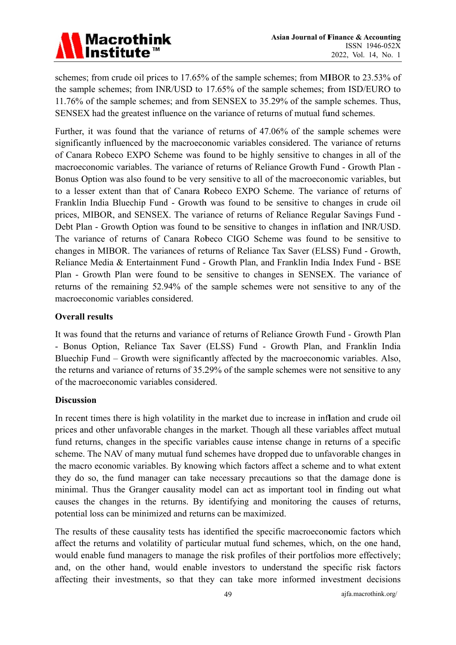

schemes; from crude oil prices to 17.65% of the sample schemes; from MIBOR to 23.53% of the sample schemes; from INR/USD to 17.65% of the sample schemes; from ISD/EURO to 11.76% of the sample schemes; and from SENSEX to 35.29% of the sample schemes. Thus, SENSEX had the greatest influence on the variance of returns of mutual fund schemes.

Further, it was found that the variance of returns of 47.06% of the sample schemes were significantly influenced by the macroeconomic variables considered. The variance of returns of Canara Robeco EXPO Scheme was found to be highly sensitive to changes in all of the macroeconomic variables. The variance of returns of Reliance Growth Fund - Growth Plan -Bonus Option was also found to be very sensitive to all of the macroeconomic variables, but to a lesser extent than that of Canara Robeco EXPO Scheme. The variance of returns of Franklin India Bluechip Fund - Growth was found to be sensitive to changes in crude oil prices, MIBOR, and SENSEX. The variance of returns of Reliance Regular Savings Fund -Debt Plan - Growth Option was found to be sensitive to changes in inflation and INR/USD. The variance of returns of Canara Robeco CIGO Scheme was found to be sensitive to changes in MIBOR. The variances of returns of Reliance Tax Saver (ELSS) Fund - Growth, Reliance Media & Entertainment Fund - Growth Plan, and Franklin India Index Fund - BSE Plan - Growth Plan were found to be sensitive to changes in SENSEX. The variance of returns of the remaining 52.94% of the sample schemes were not sensitive to any of the macroeconomic variables considered.

#### **Overall results**

It was found that the returns and variance of returns of Reliance Growth Fund - Growth Plan - Bonus Option, Reliance Tax Saver (ELSS) Fund - Growth Plan, and Franklin India Bluechip Fund – Growth were significantly affected by the macroeconomic variables. Also, the returns and variance of returns of 35.29% of the sample schemes were not sensitive to any of the macroeconomic variables considered.

# **Discussion**

In recent times there is high volatility in the market due to increase in inflation and crude oil prices and other unfavorable changes in the market. Though all these variables affect mutual fund returns, changes in the specific variables cause intense change in returns of a specific scheme. The NAV of many mutual fund schemes have dropped due to unfavorable changes in the macro economic variables. By knowing which factors affect a scheme and to what extent they do so, the fund manager can take necessary precautions so that the damage done is minimal. Thus the Granger causality model can act as important tool in finding out what causes the changes in the returns. By identifying and monitoring the causes of returns, potential loss can be minimized and returns can be maximized.

The results of these causality tests has identified the specific macroeconomic factors which affect the returns and volatility of particular mutual fund schemes, which, on the one hand, would enable fund managers to manage the risk profiles of their portfolios more effectively; and, on the other hand, would enable investors to understand the specific risk factors affecting their investments, so that they can take more informed investment decisions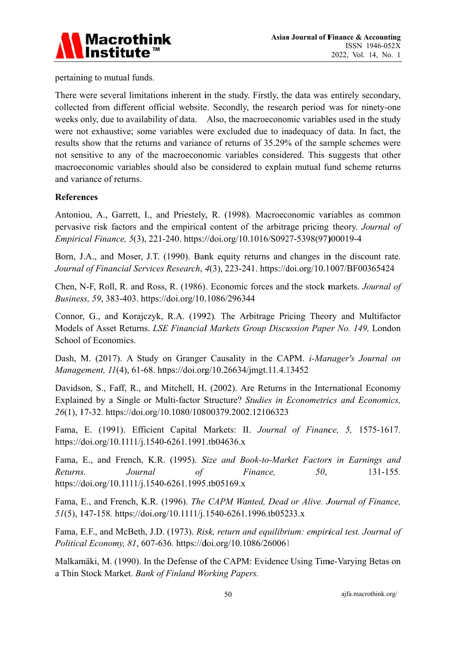

pertaining to mutual funds.

There were several limitations inherent in the study. Firstly, the data was entirely secondary, collected from different official website. Secondly, the research period was for ninety-one weeks only, due to availability of data. Also, the macroeconomic variables used in the study were not exhaustive; some variables were excluded due to inadequacy of data. In fact, the results show that the returns and variance of returns of 35.29% of the sample schemes were not sensitive to any of the macroeconomic variables considered. This suggests that other macroeconomic variables should also be considered to explain mutual fund scheme returns and variance of returns.

#### **References**

Antoniou, A., Garrett, I., and Priestely, R. (1998). Macroeconomic variables as common pervasive risk factors and the empirical content of the arbitrage pricing theory. Journal of Empirical Finance, 5(3), 221-240. https://doi.org/10.1016/S0927-5398(97)00019-4

Born, J.A., and Moser, J.T. (1990). Bank equity returns and changes in the discount rate. Journal of Financial Services Research, 4(3), 223-241. https://doi.org/10.1007/BF00365424

Chen, N-F, Roll, R. and Ross, R. (1986). Economic forces and the stock markets. Journal of Business, 59, 383-403. https://doi.org/10.1086/296344

Connor, G., and Korajczyk, R.A. (1992). The Arbitrage Pricing Theory and Multifactor Models of Asset Returns. LSE Financial Markets Group Discussion Paper No. 149, London School of Economics.

Dash, M. (2017). A Study on Granger Causality in the CAPM. *i-Manager's Journal on* Management, 11(4), 61-68. https://doi.org/10.26634/jmgt.11.4.13452

Davidson, S., Faff, R., and Mitchell, H. (2002). Are Returns in the International Economy Explained by a Single or Multi-factor Structure? Studies in Econometrics and Economics, 26(1), 17-32. https://doi.org/10.1080/10800379.2002.12106323

Fama, E. (1991). Efficient Capital Markets: II. Journal of Finance, 5, 1575-1617. https://doi.org/10.1111/j.1540-6261.1991.tb04636.x

Fama, E., and French, K.R. (1995). Size and Book-to-Market Factors in Earnings and Returns. Journal  $\sigma f$ Finance, 50, 131-155. https://doi.org/10.1111/j.1540-6261.1995.tb05169.x

Fama, E., and French, K.R. (1996). The CAPM Wanted, Dead or Alive. Journal of Finance,  $51(5)$ , 147-158. https://doi.org/10.1111/j.1540-6261.1996.tb05233.x

Fama, E.F., and McBeth, J.D. (1973). Risk, return and equilibrium: empirical test. Journal of Political Economy, 81, 607-636. https://doi.org/10.1086/260061

Malkamäki, M. (1990). In the Defense of the CAPM: Evidence Using Time-Varying Betas on a Thin Stock Market. Bank of Finland Working Papers.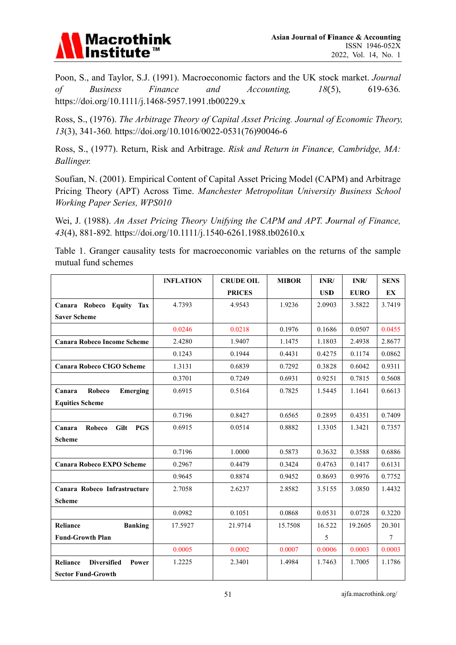

Poon, S., and Taylor, S.J. (1991). Macroeconomic factors and the UK stock market. Journal  $\sigma f$ **Business** Finance Accounting,  $18(5)$ , 619-636. and https://doi.org/10.1111/j.1468-5957.1991.tb00229.x

Ross, S., (1976). The Arbitrage Theory of Capital Asset Pricing. Journal of Economic Theory, 13(3), 341-360. https://doi.org/10.1016/0022-0531(76)90046-6

Ross, S., (1977). Return, Risk and Arbitrage. Risk and Return in Finance, Cambridge, MA: Ballinger.

Soufian, N. (2001). Empirical Content of Capital Asset Pricing Model (CAPM) and Arbitrage Pricing Theory (APT) Across Time. Manchester Metropolitan University Business School **Working Paper Series, WPS010** 

Wei, J. (1988). An Asset Pricing Theory Unifying the CAPM and APT. Journal of Finance, 43(4), 881-892. https://doi.org/10.1111/j.1540-6261.1988.tb02610.x

Table 1. Granger causality tests for macroeconomic variables on the returns of the sample mutual fund schemes

|                                         | <b>INFLATION</b> | <b>CRUDE OIL</b> | <b>MIBOR</b> | INR/       | INR/        | <b>SENS</b> |
|-----------------------------------------|------------------|------------------|--------------|------------|-------------|-------------|
|                                         |                  | <b>PRICES</b>    |              | <b>USD</b> | <b>EURO</b> | <b>EX</b>   |
| Canara Robeco Equity Tax                | 4.7393           | 4.9543           | 1.9236       | 2.0903     | 3.5822      | 3.7419      |
| <b>Saver Scheme</b>                     |                  |                  |              |            |             |             |
|                                         | 0.0246           | 0.0218           | 0.1976       | 0.1686     | 0.0507      | 0.0455      |
| <b>Canara Robeco Income Scheme</b>      | 2.4280           | 1.9407           | 1.1475       | 1.1803     | 2.4938      | 2.8677      |
|                                         | 0.1243           | 0.1944           | 0.4431       | 0.42.75    | 0.1174      | 0.0862      |
| <b>Canara Robeco CIGO Scheme</b>        | 1.3131           | 0.6839           | 0.7292       | 0.3828     | 0.6042      | 0.9311      |
|                                         | 0.3701           | 0.7249           | 0.6931       | 0.9251     | 0.7815      | 0.5608      |
| Robeco<br>Emerging<br>Canara            | 0.6915           | 0.5164           | 0.7825       | 1.5445     | 1.1641      | 0.6613      |
| <b>Equities Scheme</b>                  |                  |                  |              |            |             |             |
|                                         | 0.7196           | 0.8427           | 0.6565       | 0.2895     | 0.4351      | 0.7409      |
| Robeco<br>Gilt<br><b>PGS</b><br>Canara  | 0.6915           | 0.0514           | 0.8882       | 1.3305     | 1.3421      | 0.7357      |
| <b>Scheme</b>                           |                  |                  |              |            |             |             |
|                                         | 0.7196           | 1.0000           | 0.5873       | 0.3632     | 0.3588      | 0.6886      |
| <b>Canara Robeco EXPO Scheme</b>        | 0.2967           | 0.4479           | 0.3424       | 0.4763     | 0.1417      | 0.6131      |
|                                         | 0.9645           | 0.8874           | 0.9452       | 0.8693     | 0.9976      | 0.7752      |
| Canara Robeco Infrastructure            | 2.7058           | 2.6237           | 2.8582       | 3.5155     | 3.0850      | 1.4432      |
| <b>Scheme</b>                           |                  |                  |              |            |             |             |
|                                         | 0.0982           | 0.1051           | 0.0868       | 0.0531     | 0.0728      | 0.3220      |
| Reliance<br><b>Banking</b>              | 17.5927          | 21.9714          | 15.7508      | 16.522     | 19.2605     | 20.301      |
| <b>Fund-Growth Plan</b>                 |                  |                  |              | 5          |             | 7           |
|                                         | 0.0005           | 0.0002           | 0.0007       | 0.0006     | 0.0003      | 0.0003      |
| <b>Diversified</b><br>Reliance<br>Power | 1.2225           | 2.3401           | 1.4984       | 1.7463     | 1.7005      | 1.1786      |
| <b>Sector Fund-Growth</b>               |                  |                  |              |            |             |             |

ajfa.macrothink.org/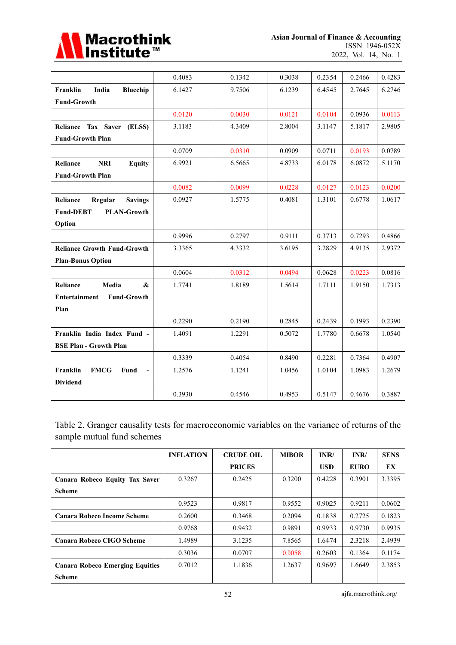

|                                            | 0.4083 | 0.1342 | 0.3038 | 0.2354  | 0.2466 | 0.4283 |
|--------------------------------------------|--------|--------|--------|---------|--------|--------|
| Franklin<br>India<br><b>Bluechip</b>       | 6.1427 | 9.7506 | 6.1239 | 6.4545  | 2.7645 | 6.2746 |
| <b>Fund-Growth</b>                         |        |        |        |         |        |        |
|                                            | 0.0120 | 0.0030 | 0.0121 | 0.0104  | 0.0936 | 0.0113 |
| Reliance Tax Saver (ELSS)                  | 3.1183 | 4.3409 | 2.8004 | 3.1147  | 5.1817 | 2.9805 |
| <b>Fund-Growth Plan</b>                    |        |        |        |         |        |        |
|                                            | 0.0709 | 0.0310 | 0.0909 | 0.0711  | 0.0193 | 0.0789 |
| Reliance<br><b>NRI</b><br><b>Equity</b>    | 6.9921 | 6.5665 | 4.8733 | 6.0178  | 6.0872 | 5.1170 |
| <b>Fund-Growth Plan</b>                    |        |        |        |         |        |        |
|                                            | 0.0082 | 0.0099 | 0.0228 | 0.0127  | 0.0123 | 0.0200 |
| Reliance<br>Regular<br><b>Savings</b>      | 0.0927 | 1.5775 | 0.4081 | 1.3101  | 0.6778 | 1.0617 |
| <b>Fund-DEBT</b><br><b>PLAN-Growth</b>     |        |        |        |         |        |        |
| Option                                     |        |        |        |         |        |        |
|                                            | 0.9996 | 0.2797 | 0.9111 | 0.3713  | 0.7293 | 0.4866 |
| <b>Reliance Growth Fund-Growth</b>         | 3.3365 | 4.3332 | 3.6195 | 3.2829  | 4.9135 | 2.9372 |
| <b>Plan-Bonus Option</b>                   |        |        |        |         |        |        |
|                                            | 0.0604 | 0.0312 | 0.0494 | 0.0628  | 0.0223 | 0.0816 |
| Reliance<br>Media<br>&                     | 1.7741 | 1.8189 | 1.5614 | 1.7111  | 1.9150 | 1.7313 |
| <b>Fund-Growth</b><br><b>Entertainment</b> |        |        |        |         |        |        |
| Plan                                       |        |        |        |         |        |        |
|                                            | 0.2290 | 0.2190 | 0.2845 | 0.2439  | 0.1993 | 0.2390 |
| Franklin India Index Fund -                | 1.4091 | 1.2291 | 0.5072 | 1.7780  | 0.6678 | 1.0540 |
| <b>BSE Plan - Growth Plan</b>              |        |        |        |         |        |        |
|                                            | 0.3339 | 0.4054 | 0.8490 | 0.22.81 | 0.7364 | 0.4907 |
| Franklin<br><b>FMCG</b><br>Fund            | 1.2576 | 1.1241 | 1.0456 | 1.0104  | 1.0983 | 1.2679 |
| <b>Dividend</b>                            |        |        |        |         |        |        |
|                                            | 0.3930 | 0.4546 | 0.4953 | 0.5147  | 0.4676 | 0.3887 |

Table 2. Granger causality tests for macroeconomic variables on the variance of returns of the sample mutual fund schemes

|                                        | <b>INFLATION</b> | <b>CRUDE OIL</b> | <b>MIBOR</b> | INR/       | INR/        | <b>SENS</b> |
|----------------------------------------|------------------|------------------|--------------|------------|-------------|-------------|
|                                        |                  | <b>PRICES</b>    |              | <b>USD</b> | <b>EURO</b> | EX          |
| Canara Robeco Equity Tax Saver         | 0.3267           | 0.2425           | 0.3200       | 0.42.28    | 0.3901      | 3.3395      |
| Scheme                                 |                  |                  |              |            |             |             |
|                                        | 0.9523           | 0.9817           | 0.9552       | 0.9025     | 0.9211      | 0.0602      |
| Canara Robeco Income Scheme            | 0.2600           | 0.3468           | 0.2094       | 0.1838     | 0.2725      | 0.1823      |
|                                        | 0.9768           | 0.9432           | 0.9891       | 0.9933     | 0.9730      | 0.9935      |
| Canara Robeco CIGO Scheme              | 1.4989           | 3.1235           | 7.8565       | 1.6474     | 2.3218      | 2.4939      |
|                                        | 0.3036           | 0.0707           | 0.0058       | 0.2603     | 0.1364      | 0.1174      |
| <b>Canara Robeco Emerging Equities</b> | 0.7012           | 1.1836           | 1.2637       | 0.9697     | 1.6649      | 2.3853      |
| <b>Scheme</b>                          |                  |                  |              |            |             |             |

ajfa.macro think.org/